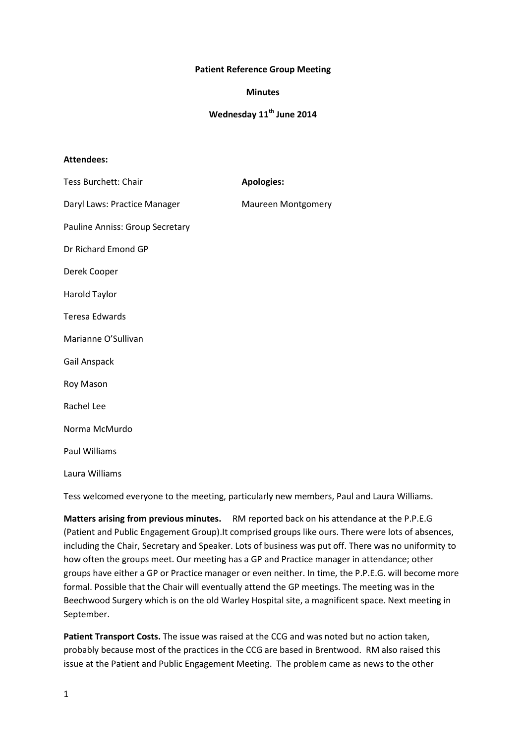## **Patient Reference Group Meeting**

## **Minutes**

## **Wednesday 11th June 2014**

## **Attendees:**

| <b>Tess Burchett: Chair</b>     | <b>Apologies:</b>         |
|---------------------------------|---------------------------|
| Daryl Laws: Practice Manager    | <b>Maureen Montgomery</b> |
| Pauline Anniss: Group Secretary |                           |
| Dr Richard Emond GP             |                           |
| Derek Cooper                    |                           |
| Harold Taylor                   |                           |
| <b>Teresa Edwards</b>           |                           |
| Marianne O'Sullivan             |                           |
| Gail Anspack                    |                           |
| Roy Mason                       |                           |
| Rachel Lee                      |                           |
| Norma McMurdo                   |                           |
| <b>Paul Williams</b>            |                           |
| Laura Williams                  |                           |

Tess welcomed everyone to the meeting, particularly new members, Paul and Laura Williams.

**Matters arising from previous minutes.** RM reported back on his attendance at the P.P.E.G (Patient and Public Engagement Group).It comprised groups like ours. There were lots of absences, including the Chair, Secretary and Speaker. Lots of business was put off. There was no uniformity to how often the groups meet. Our meeting has a GP and Practice manager in attendance; other groups have either a GP or Practice manager or even neither. In time, the P.P.E.G. will become more formal. Possible that the Chair will eventually attend the GP meetings. The meeting was in the Beechwood Surgery which is on the old Warley Hospital site, a magnificent space. Next meeting in September.

**Patient Transport Costs.** The issue was raised at the CCG and was noted but no action taken, probably because most of the practices in the CCG are based in Brentwood. RM also raised this issue at the Patient and Public Engagement Meeting. The problem came as news to the other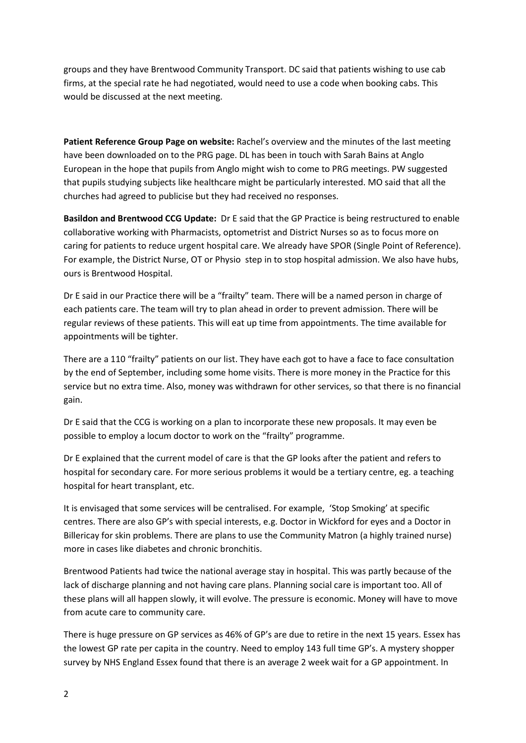groups and they have Brentwood Community Transport. DC said that patients wishing to use cab firms, at the special rate he had negotiated, would need to use a code when booking cabs. This would be discussed at the next meeting.

**Patient Reference Group Page on website:** Rachel's overview and the minutes of the last meeting have been downloaded on to the PRG page. DL has been in touch with Sarah Bains at Anglo European in the hope that pupils from Anglo might wish to come to PRG meetings. PW suggested that pupils studying subjects like healthcare might be particularly interested. MO said that all the churches had agreed to publicise but they had received no responses.

**Basildon and Brentwood CCG Update:** Dr E said that the GP Practice is being restructured to enable collaborative working with Pharmacists, optometrist and District Nurses so as to focus more on caring for patients to reduce urgent hospital care. We already have SPOR (Single Point of Reference). For example, the District Nurse, OT or Physio step in to stop hospital admission. We also have hubs, ours is Brentwood Hospital.

Dr E said in our Practice there will be a "frailty" team. There will be a named person in charge of each patients care. The team will try to plan ahead in order to prevent admission. There will be regular reviews of these patients. This will eat up time from appointments. The time available for appointments will be tighter.

There are a 110 "frailty" patients on our list. They have each got to have a face to face consultation by the end of September, including some home visits. There is more money in the Practice for this service but no extra time. Also, money was withdrawn for other services, so that there is no financial gain.

Dr E said that the CCG is working on a plan to incorporate these new proposals. It may even be possible to employ a locum doctor to work on the "frailty" programme.

Dr E explained that the current model of care is that the GP looks after the patient and refers to hospital for secondary care. For more serious problems it would be a tertiary centre, eg. a teaching hospital for heart transplant, etc.

It is envisaged that some services will be centralised. For example, 'Stop Smoking' at specific centres. There are also GP's with special interests, e.g. Doctor in Wickford for eyes and a Doctor in Billericay for skin problems. There are plans to use the Community Matron (a highly trained nurse) more in cases like diabetes and chronic bronchitis.

Brentwood Patients had twice the national average stay in hospital. This was partly because of the lack of discharge planning and not having care plans. Planning social care is important too. All of these plans will all happen slowly, it will evolve. The pressure is economic. Money will have to move from acute care to community care.

There is huge pressure on GP services as 46% of GP's are due to retire in the next 15 years. Essex has the lowest GP rate per capita in the country. Need to employ 143 full time GP's. A mystery shopper survey by NHS England Essex found that there is an average 2 week wait for a GP appointment. In